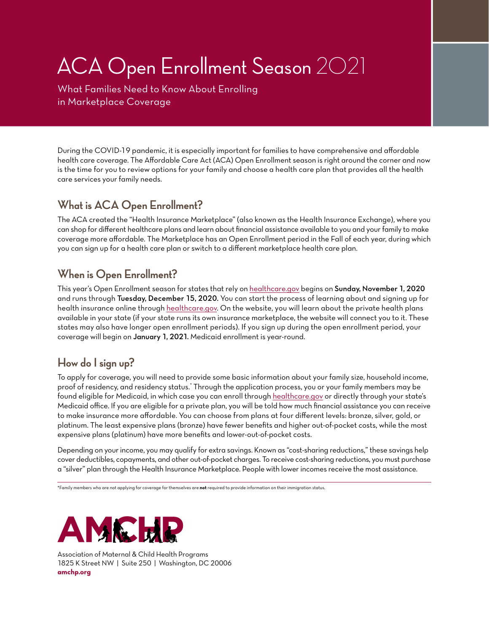# ACA Open Enrollment Season 2021

What Families Need to Know About Enrolling in Marketplace Coverage

During the COVID-19 pandemic, it is especially important for families to have comprehensive and affordable health care coverage. The Affordable Care Act (ACA) Open Enrollment season is right around the corner and now is the time for you to review options for your family and choose a health care plan that provides all the health care services your family needs.

### **What is ACA Open Enrollment?**

The ACA created the "Health Insurance Marketplace" (also known as the Health Insurance Exchange), where you can shop for different healthcare plans and learn about financial assistance available to you and your family to make coverage more affordable. The Marketplace has an Open Enrollment period in the Fall of each year, during which you can sign up for a health care plan or switch to a different marketplace health care plan.

#### **When is Open Enrollment?**

This year's Open Enrollment season for states that rely on [healthcare.gov](https://www.healthcare.gov) begins on Sunday, November 1, 2020 and runs through Tuesday, December 15, 2020. You can start the process of learning about and signing up for health insurance online through h[ealthcare.gov.](https://www.healthcare.gov) On the website, you will learn about the private health plans available in your state (if your state runs its own insurance marketplace, the website will connect you to it. These states may also have longer open enrollment periods). If you sign up during the open enrollment period, your coverage will begin on January 1, 2021. Medicaid enrollment is year-round.

## **How do I sign up?**

To apply for coverage, you will need to provide some basic information about your family size, household income, proof of residency, and residency status." Through the application process, you or your family members may be found eligible for Medicaid, in which case you can enroll through [healthcare.gov](https://www.healthcare.gov) or directly through your state's Medicaid office. If you are eligible for a private plan, you will be told how much financial assistance you can receive to make insurance more affordable. You can choose from plans at four different levels: bronze, silver, gold, or platinum. The least expensive plans (bronze) have fewer benefits and higher out-of-pocket costs, while the most expensive plans (platinum) have more benefits and lower-out-of-pocket costs.

Depending on your income, you may qualify for extra savings. Known as "cost-sharing reductions," these savings help cover deductibles, copayments, and other out-of-pocket charges. To receive cost-sharing reductions, you must purchase a "silver" plan through the Health Insurance Marketplace. People with lower incomes receive the most assistance.

\*Family members who are not applying for coverage for themselves are **not** required to provide information on their immigration status.



Association of Maternal & Child Health Programs [1825 K Street NW | Suite 250 | Washington, DC 20006](http://www.amchp.org/pages/default.aspx) **amchp.org**